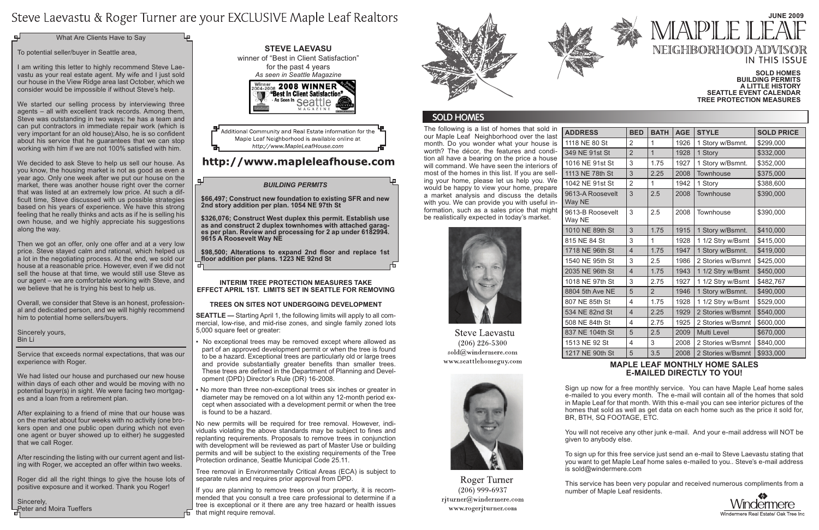The following is a list of homes that sold in our Maple Leaf Neighborhood over the last month. Do you wonder what your house is worth? The décor, the features and condition all have a bearing on the price a house will command. We have seen the interiors of most of the homes in this list. If you are selling your home, please let us help you. We would be happy to view your home, prepare a market analysis and discuss the details with you. We can provide you with useful information, such as a sales price that might be realistically expected in today's market.



**Steve Laevastu**  $(206)$  226-5300 sold@windermere.com www.seattlehomeguy.com



Roger Turner  $(206)$  999-6937 rjturner@windermere.com www.rogerjturner.com

 $ADDRESS$ 1118 NE 80 S 349 NE 91st 1016 NE 91s 1113 NE 78th 1042 NE 91s 9613-A Roos Way NE 9613-B Roos Way NE 1010 NE 89th 815 NE 84 Str 1718 NE 96t 1540 NE 95t 2035 NE 96t 1018 NE 97th 8804 5th Ave 807 NE 85th 534 NE 82nd 508 NE 84th 837 NE 104t 1513 NE 92 1217 NE 90t

|           | <b>BED</b>     | <b>BATH</b>    | <b>AGE</b> | <b>STYLE</b>       | <b>SOLD PRICE</b> |
|-----------|----------------|----------------|------------|--------------------|-------------------|
| 3t        | 2              | 1              | 1926       | 1 Story w/Bsmnt.   | \$299,000         |
| <b>St</b> | $\overline{2}$ | $\overline{1}$ | 1928       | 1 Story            | \$332,000         |
| t St      | 3              | 1.75           | 1927       | 1 Story w/Bsmnt.   | \$352,000         |
| า St      | 3              | 2.25           | 2008       | Townhouse          | \$375,000         |
| t St      | $\overline{2}$ | 1              | 1942       | 1 Story            | \$388,600         |
| evelt     | 3              | 2.5            | 2008       | Townhouse          | \$390,000         |
| evelt     | 3              | 2.5            | 2008       | Townhouse          | \$390,000         |
| n St      | 3              | 1.75           | 1915       | 1 Story w/Bsmnt.   | \$410,000         |
| t         | 3              | 1              | 1928       | 1 1/2 Stry w/Bsmt  | \$415,000         |
| n St      | $\overline{4}$ | 1.75           | 1947       | 1 Story w/Bsmnt.   | \$419,000         |
| n St      | 3              | 2.5            | 1986       | 2 Stories w/Bsmnt  | \$425,000         |
| n St      | $\overline{4}$ | 1.75           | 1943       | 1 1/2 Stry w/Bsmt  | \$450,000         |
| n St      | 3              | 2.75           | 1927       | 1 1/2 Stry w/Bsmt  | \$482,767         |
| NE        | 5              | $\overline{2}$ | 1946       | 1 Story w/Bsmnt.   | \$490,000         |
| <b>St</b> | 4              | 1.75           | 1928       | 1 1/2 Stry w/Bsmt  | \$529,000         |
| <b>St</b> | $\overline{4}$ | 2.25           | 1929       | 2 Stories w/Bsmnt  | \$540,000         |
| <b>St</b> | 4              | 2.75           | 1925       | 2 Stories w/Bsmnt  | \$600,000         |
| n St      | 5              | 2.5            | 2009       | <b>Multi Level</b> | \$670,000         |
| St        | 4              | 3              | 2008       | 2 Stories w/Bsmnt  | \$840,000         |
| h St      | 5              | 3.5            | 2008       | 2 Stories w/Bsmnt  | \$933,000         |

We started our selling process by interviewing three agents – all with excellent track records. Among them, Steve was outstanding in two ways: he has a team and can put contractors in immediate repair work (which is very important for an old house);Also, he is so confident about his service that he guarantees that we can stop working with him if we are not 100% satisfied with him.

# Steve Laevastu & Roger Turner are your EXCLUSIVE Maple Leaf Realtors

What Are Clients Have to Say

To potential seller/buyer in Seattle area,

I am writing this letter to highly recommend Steve Laevastu as your real estate agent. My wife and I just sold our house in the View Ridge area last October, which we consider would be impossible if without Steve's help.

We decided to ask Steve to help us sell our house. As you know, the housing market is not as good as even a year ago. Only one week after we put our house on the market, there was another house right over the corner that was listed at an extremely low price. At such a difficult time, Steve discussed with us possible strategies based on his years of experience. We have this strong feeling that he really thinks and acts as if he is selling his own house, and we highly appreciate his suggestions along the way.

Then we got an offer, only one offer and at a very low price. Steve stayed calm and rational, which helped us a lot in the negotiating process. At the end, we sold our house at a reasonable price. However, even if we did not sell the house at that time, we would still use Steve as our agent – we are comfortable working with Steve, and we believe that he is trying his best to help us.

Overall, we consider that Steve is an honest, professional and dedicated person, and we will highly recommend him to potential home sellers/buyers.

Sincerely yours, Bin Li

Service that exceeds normal expectations, that was our experience with Roger.

## **Steve Laevasu**  winner of "Best in Client Satisfaction" for the past 4 years *As seen in Seattle Magazine*Winner 2008 WINNER



Additional Community and Real Estate information for the Maple Leaf Neighborhood is available online at http://www.MapleLeafHouse.com

## http://www.mapleleafhouse.com

We had listed our house and purchased our new house within days of each other and would be moving with no potential buyer(s) in sight. We were facing two mortgages and a loan from a retirement plan.

After explaining to a friend of mine that our house was on the market about four weeks with no activity (one brokers open and one public open during which not even one agent or buyer showed up to either) he suggested that we call Roger.

After rescinding the listing with our current agent and listing with Roger, we accepted an offer within two weeks.

Roger did all the right things to give the house lots of positive exposure and it worked. Thank you Roger!

Sincerely, Peter and Moira Tueffers

#### **Maple Leaf monthly home sales e-mailed directly to you!**

Sign up now for a free monthly service. You can have Maple Leaf home sales e-mailed to you every month. The e-mail will contain all of the homes that sold in Maple Leaf for that month. With this e-mail you can see interior pictures of the homes that sold as well as get data on each home such as the price it sold for, BR, BTH, SQ FOOTAGE, ETC.

You will not receive any other junk e-mail. And your e-mail address will NOT be

given to anybody else.

To sign up for this free service just send an e-mail to Steve Laevastu stating that you want to get Maple Leaf home sales e-mailed to you.. Steve's e-mail address is sold@windermere.com



Windermere Real Estate/ Oak Tree In

This service has been very popular and received numerous compliments from a number of Maple Leaf residents.



# **June 2009** /IAPI F NEIGHBORHOOD ADV **IN THIS ISSUE**

#### **Interim Tree Protection Measures Take Effect April 1st. Limits set in Seattle for removing**

#### **trees on sites not undergoing development**

**SEATTLE —** Starting April 1, the following limits will apply to all commercial, low-rise, and mid-rise zones, and single family zoned lots 5,000 square feet or greater:

- No exceptional trees may be removed except where allowed as part of an approved development permit or when the tree is found to be a hazard. Exceptional trees are particularly old or large trees and provide substantially greater benefits than smaller trees. These trees are defined in the Department of Planning and Development (DPD) Director's Rule (DR) 16-2008.
- No more than three non-exceptional trees six inches or greater in diameter may be removed on a lot within any 12-month period except when associated with a development permit or when the tree is found to be a hazard.

No new permits will be required for tree removal. However, individuals violating the above standards may be subject to fines and replanting requirements. Proposals to remove trees in conjunction with development will be reviewed as part of Master Use or building permits and will be subject to the existing requirements of the Tree Protection ordinance, Seattle Municipal Code 25.11.

Tree removal in Environmentally Critical Areas (ECA) is subject to separate rules and requires prior approval from DPD.

If you are planning to remove trees on your property, it is recommended that you consult a tree care professional to determine if a tree is exceptional or it there are any tree hazard or health issues that might require removal.



### **SOLD HOMES**

#### *BUILDING PERMITS*

**\$66,497; Construct new foundation to existing SFR and new 2nd story addition per plan. 1054 NE 97th St** 

**\$326,076; Construct West duplex this permit. Establish use as and construct 2 duplex townhomes with attached garag- es per plan. Review and processing for 2 ap under 6182994. 9615 A Roosevelt Way NE**

**\$98,500; Alterations to expand 2nd floor and replace 1st floor addition per plans. 1223 NE 92nd St**

#### **Sold Homes Building Permits A little History Seattle Event Calendar Tree Protection Measures**